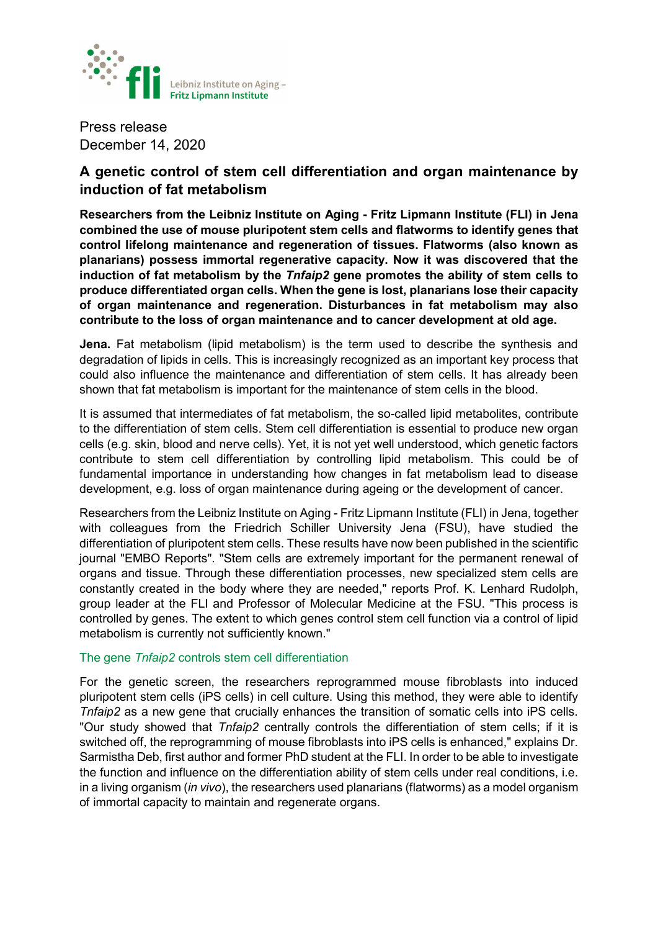

Press release December 14, 2020

# **A genetic control of stem cell differentiation and organ maintenance by induction of fat metabolism**

**Researchers from the Leibniz Institute on Aging - Fritz Lipmann Institute (FLI) in Jena combined the use of mouse pluripotent stem cells and flatworms to identify genes that control lifelong maintenance and regeneration of tissues. Flatworms (also known as planarians) possess immortal regenerative capacity. Now it was discovered that the induction of fat metabolism by the** *Tnfaip2* **gene promotes the ability of stem cells to produce differentiated organ cells. When the gene is lost, planarians lose their capacity of organ maintenance and regeneration. Disturbances in fat metabolism may also contribute to the loss of organ maintenance and to cancer development at old age.**

**Jena.** Fat metabolism (lipid metabolism) is the term used to describe the synthesis and degradation of lipids in cells. This is increasingly recognized as an important key process that could also influence the maintenance and differentiation of stem cells. It has already been shown that fat metabolism is important for the maintenance of stem cells in the blood.

It is assumed that intermediates of fat metabolism, the so-called lipid metabolites, contribute to the differentiation of stem cells. Stem cell differentiation is essential to produce new organ cells (e.g. skin, blood and nerve cells). Yet, it is not yet well understood, which genetic factors contribute to stem cell differentiation by controlling lipid metabolism. This could be of fundamental importance in understanding how changes in fat metabolism lead to disease development, e.g. loss of organ maintenance during ageing or the development of cancer.

Researchers from the Leibniz Institute on Aging - Fritz Lipmann Institute (FLI) in Jena, together with colleagues from the Friedrich Schiller University Jena (FSU), have studied the differentiation of pluripotent stem cells. These results have now been published in the scientific journal "EMBO Reports". "Stem cells are extremely important for the permanent renewal of organs and tissue. Through these differentiation processes, new specialized stem cells are constantly created in the body where they are needed," reports Prof. K. Lenhard Rudolph, group leader at the FLI and Professor of Molecular Medicine at the FSU. "This process is controlled by genes. The extent to which genes control stem cell function via a control of lipid metabolism is currently not sufficiently known."

## The gene *Tnfaip2* controls stem cell differentiation

For the genetic screen, the researchers reprogrammed mouse fibroblasts into induced pluripotent stem cells (iPS cells) in cell culture. Using this method, they were able to identify *Tnfaip2* as a new gene that crucially enhances the transition of somatic cells into iPS cells. "Our study showed that *Tnfaip2* centrally controls the differentiation of stem cells; if it is switched off, the reprogramming of mouse fibroblasts into iPS cells is enhanced," explains Dr. Sarmistha Deb, first author and former PhD student at the FLI. In order to be able to investigate the function and influence on the differentiation ability of stem cells under real conditions, i.e. in a living organism (*in vivo*), the researchers used planarians (flatworms) as a model organism of immortal capacity to maintain and regenerate organs.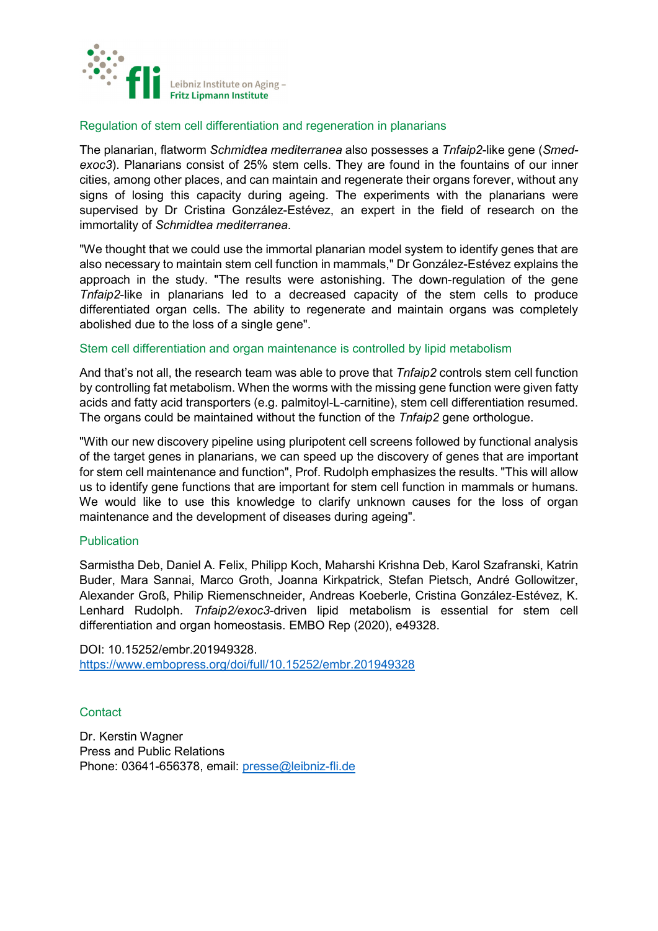

#### Regulation of stem cell differentiation and regeneration in planarians

The planarian, flatworm *Schmidtea mediterranea* also possesses a *Tnfaip2*-like gene (*Smedexoc3*). Planarians consist of 25% stem cells. They are found in the fountains of our inner cities, among other places, and can maintain and regenerate their organs forever, without any signs of losing this capacity during ageing. The experiments with the planarians were supervised by Dr Cristina González-Estévez, an expert in the field of research on the immortality of *Schmidtea mediterranea*.

"We thought that we could use the immortal planarian model system to identify genes that are also necessary to maintain stem cell function in mammals," Dr González-Estévez explains the approach in the study. "The results were astonishing. The down-regulation of the gene *Tnfaip2*-like in planarians led to a decreased capacity of the stem cells to produce differentiated organ cells. The ability to regenerate and maintain organs was completely abolished due to the loss of a single gene".

### Stem cell differentiation and organ maintenance is controlled by lipid metabolism

And that's not all, the research team was able to prove that *Tnfaip2* controls stem cell function by controlling fat metabolism. When the worms with the missing gene function were given fatty acids and fatty acid transporters (e.g. palmitoyl-L-carnitine), stem cell differentiation resumed. The organs could be maintained without the function of the *Tnfaip2* gene orthologue.

"With our new discovery pipeline using pluripotent cell screens followed by functional analysis of the target genes in planarians, we can speed up the discovery of genes that are important for stem cell maintenance and function", Prof. Rudolph emphasizes the results. "This will allow us to identify gene functions that are important for stem cell function in mammals or humans. We would like to use this knowledge to clarify unknown causes for the loss of organ maintenance and the development of diseases during ageing".

#### Publication

Sarmistha Deb, Daniel A. Felix, Philipp Koch, Maharshi Krishna Deb, Karol Szafranski, Katrin Buder, Mara Sannai, Marco Groth, Joanna Kirkpatrick, Stefan Pietsch, André Gollowitzer, Alexander Groß, Philip Riemenschneider, Andreas Koeberle, Cristina González-Estévez, K. Lenhard Rudolph. *Tnfaip2/exoc3*-driven lipid metabolism is essential for stem cell differentiation and organ homeostasis. EMBO Rep (2020), e49328.

DOI: 10.15252/embr.201949328. <https://www.embopress.org/doi/full/10.15252/embr.201949328>

## **Contact**

Dr. Kerstin Wagner Press and Public Relations Phone: 03641-656378, email: [presse@leibniz-fli.de](mailto:presse@leibniz-fli.de)